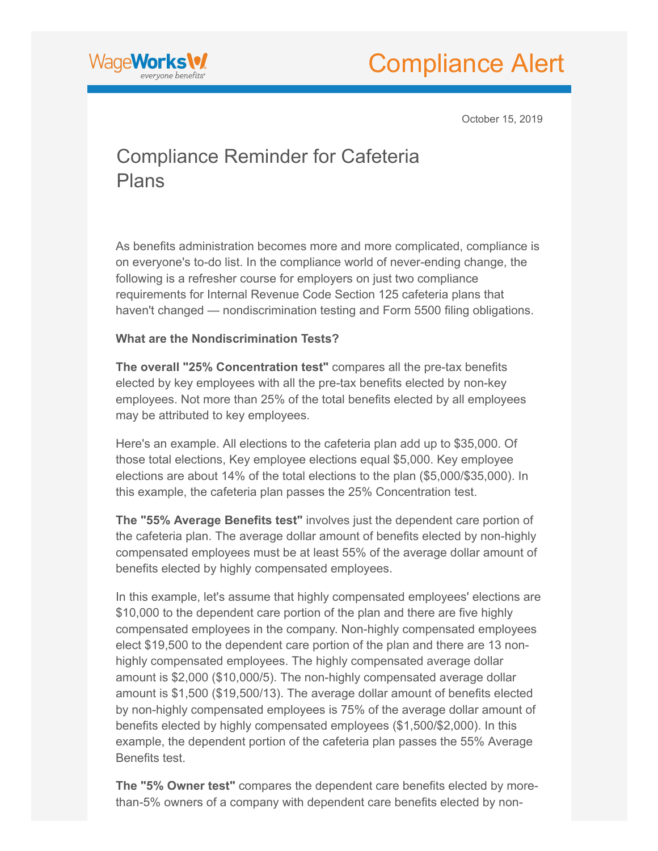



October 15, 2019

# Compliance Reminder for Cafeteria Plans

As benefits administration becomes more and more complicated, compliance is on everyone's to-do list. In the compliance world of never-ending change, the following is a refresher course for employers on just two compliance requirements for Internal Revenue Code Section 125 cafeteria plans that haven't changed — nondiscrimination testing and Form 5500 filing obligations.

## **What are the Nondiscrimination Tests?**

**The overall "25% Concentration test"** compares all the pre-tax benefits elected by key employees with all the pre-tax benefits elected by non-key employees. Not more than 25% of the total benefits elected by all employees may be attributed to key employees.

Here's an example. All elections to the cafeteria plan add up to \$35,000. Of those total elections, Key employee elections equal \$5,000. Key employee elections are about 14% of the total elections to the plan (\$5,000/\$35,000). In this example, the cafeteria plan passes the 25% Concentration test.

**The "55% Average Benefits test"** involves just the dependent care portion of the cafeteria plan. The average dollar amount of benefits elected by non-highly compensated employees must be at least 55% of the average dollar amount of benefits elected by highly compensated employees.

In this example, let's assume that highly compensated employees' elections are \$10,000 to the dependent care portion of the plan and there are five highly compensated employees in the company. Non-highly compensated employees elect \$19,500 to the dependent care portion of the plan and there are 13 nonhighly compensated employees. The highly compensated average dollar amount is \$2,000 (\$10,000/5). The non-highly compensated average dollar amount is \$1,500 (\$19,500/13). The average dollar amount of benefits elected by non-highly compensated employees is 75% of the average dollar amount of benefits elected by highly compensated employees (\$1,500/\$2,000). In this example, the dependent portion of the cafeteria plan passes the 55% Average Benefits test.

**The "5% Owner test"** compares the dependent care benefits elected by morethan-5% owners of a company with dependent care benefits elected by non-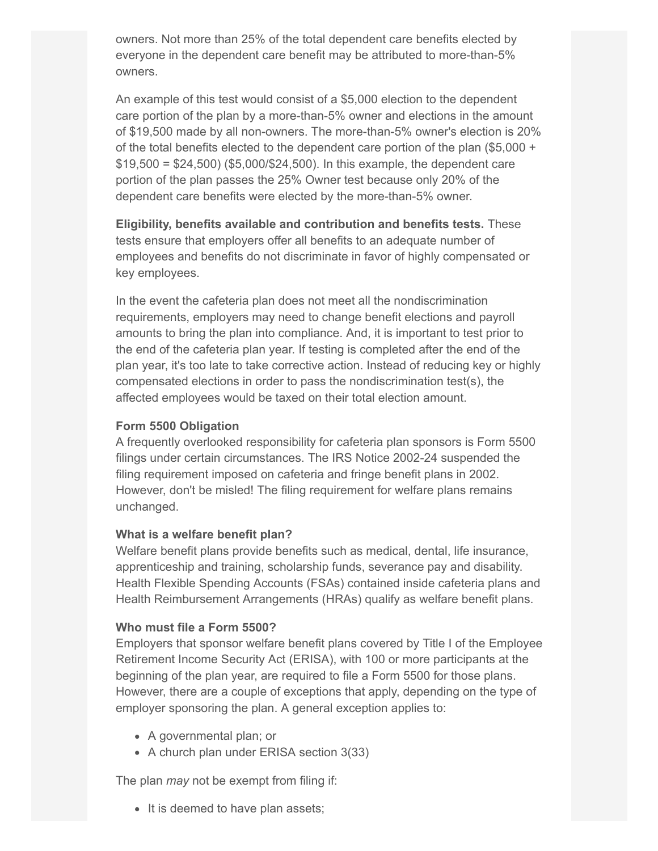owners. Not more than 25% of the total dependent care benefits elected by everyone in the dependent care benefit may be attributed to more-than-5% owners.

An example of this test would consist of a \$5,000 election to the dependent care portion of the plan by a more-than-5% owner and elections in the amount of \$19,500 made by all non-owners. The more-than-5% owner's election is 20% of the total benefits elected to the dependent care portion of the plan (\$5,000 +  $$19,500 = $24,500$  (\$5,000/\$24,500). In this example, the dependent care portion of the plan passes the 25% Owner test because only 20% of the dependent care benefits were elected by the more-than-5% owner.

**Eligibility, benefits available and contribution and benefits tests.** These tests ensure that employers offer all benefits to an adequate number of employees and benefits do not discriminate in favor of highly compensated or key employees.

In the event the cafeteria plan does not meet all the nondiscrimination requirements, employers may need to change benefit elections and payroll amounts to bring the plan into compliance. And, it is important to test prior to the end of the cafeteria plan year. If testing is completed after the end of the plan year, it's too late to take corrective action. Instead of reducing key or highly compensated elections in order to pass the nondiscrimination test(s), the affected employees would be taxed on their total election amount.

### **Form 5500 Obligation**

A frequently overlooked responsibility for cafeteria plan sponsors is Form 5500 filings under certain circumstances. The IRS Notice 2002-24 suspended the filing requirement imposed on cafeteria and fringe benefit plans in 2002. However, don't be misled! The filing requirement for welfare plans remains unchanged.

#### **What is a welfare benefit plan?**

Welfare benefit plans provide benefits such as medical, dental, life insurance, apprenticeship and training, scholarship funds, severance pay and disability. Health Flexible Spending Accounts (FSAs) contained inside cafeteria plans and Health Reimbursement Arrangements (HRAs) qualify as welfare benefit plans.

#### **Who must file a Form 5500?**

Employers that sponsor welfare benefit plans covered by Title I of the Employee Retirement Income Security Act (ERISA), with 100 or more participants at the beginning of the plan year, are required to file a Form 5500 for those plans. However, there are a couple of exceptions that apply, depending on the type of employer sponsoring the plan. A general exception applies to:

- A governmental plan; or
- A church plan under ERISA section 3(33)

The plan *may* not be exempt from filing if:

• It is deemed to have plan assets;